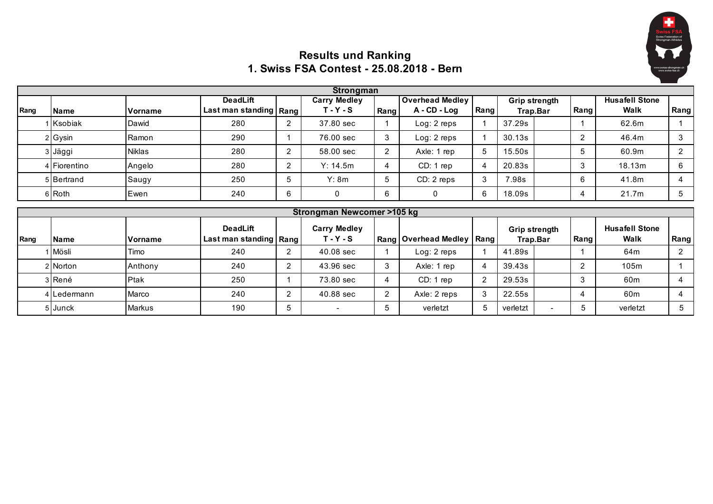

## **Results und Ranking 1. Swiss FSA Contest - 25.08.2018 - Bern**

|      |              |               |                                             |                | <b>Strongman</b>                   |                |                                          |                |                           |                           |      |                                      |                |
|------|--------------|---------------|---------------------------------------------|----------------|------------------------------------|----------------|------------------------------------------|----------------|---------------------------|---------------------------|------|--------------------------------------|----------------|
| Rang | <b>Name</b>  | Vorname       | <b>DeadLift</b><br>Last man standing   Rang |                | <b>Carry Medley</b><br>$T - Y - S$ | Rang           | <b>Overhead Medley</b><br>$A - CD - Log$ | Rang           |                           | Grip strength<br>Trap.Bar | Rang | <b>Husafell Stone</b><br><b>Walk</b> | Rang           |
|      | 1 Ksobiak    | Dawid         | 280                                         | $\overline{2}$ | 37.80 sec                          |                | Log: 2 reps                              |                | 37.29s                    |                           |      | 62.6m                                |                |
|      | 2 Gysin      | Ramon         | 290                                         |                | 76.00 sec                          | 3              | Log: 2 reps                              |                | 30.13s                    |                           | 2    | 46.4m                                | 3              |
|      | 3 Jäggi      | <b>Niklas</b> | 280                                         | $\overline{2}$ | 58.00 sec                          | $\overline{2}$ | Axle: 1 rep                              | 5              | 15.50s                    |                           | 5    | 60.9m                                | $\overline{2}$ |
|      | 4 Fiorentino | Angelo        | 280                                         | $\overline{2}$ | Y: 14.5m                           | 4              | CD: 1 rep                                | 4              | 20.83s                    |                           | 3    | 18.13m                               | 6              |
|      | 5 Bertrand   | Saugy         | 250                                         | 5              | Y: 8m                              | 5              | CD: 2 reps                               | 3              | 7.98s                     |                           | 6    | 41.8m                                | 4              |
|      | 6 Roth       | Ewen          | 240                                         | 6              | 0                                  | 6              | 0                                        | 6              | 18.09s                    |                           | 4    | 21.7m                                | 5              |
|      |              |               |                                             |                | Strongman Newcomer >105 kg         |                |                                          |                |                           |                           |      |                                      |                |
| Rang | <b>Name</b>  | Vorname       | <b>DeadLift</b><br>Last man standing        | <b>Rang</b>    | <b>Carry Medley</b><br>$T - Y - S$ |                | Rang   Overhead Medley                   | <b>Rang</b>    | Grip strength<br>Trap.Bar |                           | Rang | <b>Husafell Stone</b><br><b>Walk</b> | Rang           |
|      | Mösli        | Timo          | 240                                         | $\overline{2}$ | $40.08$ sec                        |                | Log: 2 reps                              |                | 41.89s                    |                           |      | 64 <sub>m</sub>                      | $\overline{2}$ |
|      |              |               |                                             |                |                                    |                |                                          |                |                           |                           |      |                                      |                |
|      | 2 Norton     | Anthony       | 240                                         | $\overline{2}$ | 43.96 sec                          | 3              | Axle: 1 rep                              |                | 39.43s                    |                           | 2    | 105m                                 |                |
|      | 3 René       | Ptak          | 250                                         |                | 73.80 sec                          | 4              | CD: 1 rep                                | $\overline{2}$ | 29.53s                    |                           | 3    | 60 <sub>m</sub>                      | 4              |
|      | 4 Ledermann  | Marco         | 240                                         | $\overline{2}$ | 40.88 sec                          | $\overline{2}$ | Axle: 2 reps                             | 3              | 22.55s                    |                           | 4    | 60 <sub>m</sub>                      | 4              |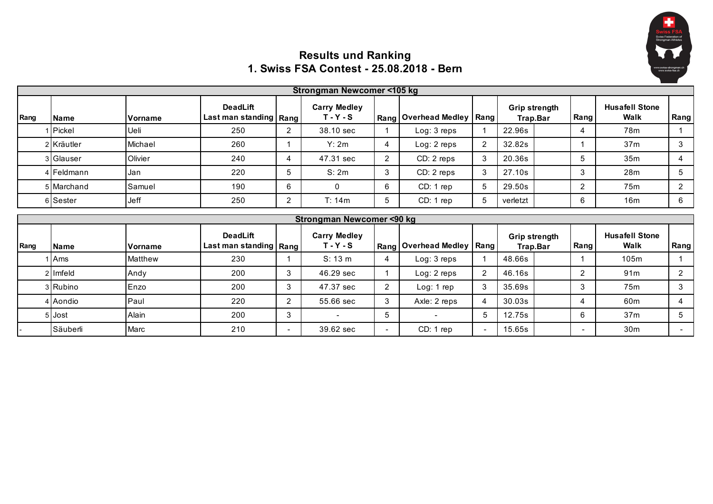

## **Results und Ranking 1. Swiss FSA Contest - 25.08.2018 - Bern**

|      |             |         |                                             |                          | Strongman Newcomer <105 kg          |                |                          |                |                                  |        |                                      |                          |
|------|-------------|---------|---------------------------------------------|--------------------------|-------------------------------------|----------------|--------------------------|----------------|----------------------------------|--------|--------------------------------------|--------------------------|
| Rang | <b>Name</b> | Vorname | <b>DeadLift</b><br>Last man standing   Rang |                          | <b>Carry Medley</b><br>$T - Y - S$  |                | Rang   Overhead Medley   | Rang           | <b>Grip strength</b><br>Trap.Bar | Rang   | <b>Husafell Stone</b><br><b>Walk</b> | Rang                     |
|      | Pickel      | Ueli    | 250                                         | $\overline{2}$           | 38.10 sec                           |                | Log: 3 reps              |                | 22.96s                           | 4      | 78m                                  |                          |
|      | 2 Kräutler  | Michael | 260                                         |                          | Y: 2m                               | 4              | Log: 2 reps              | $\overline{2}$ | 32.82s                           |        | 37 <sub>m</sub>                      | 3                        |
|      | 3 Glauser   | Olivier | 240                                         | 4                        | 47.31 sec                           | $\mathbf{2}$   | CD: 2 reps               | 3              | 20.36s                           | 5      | 35m                                  | 4                        |
|      | 4 Feldmann  | Jan     | 220                                         | 5                        | S: 2m                               | 3              | CD: 2 reps               | 3              | 27.10s                           | 3      | 28m                                  | 5                        |
|      | 5 Marchand  | Samuel  | 190                                         | 6                        | $\Omega$                            | 6              | CD: 1 rep                | 5              | 29.50s                           | 2      | 75 <sub>m</sub>                      | $\overline{2}$           |
|      | 6 Sester    | Jeff    | 250                                         | $\overline{2}$           | T: 14m                              | 5              | CD: 1 rep                | 5              | verletzt                         | 6      | 16m                                  | 6                        |
|      |             |         |                                             |                          | <b>Strongman Newcomer &lt;90 kg</b> |                |                          |                |                                  |        |                                      |                          |
| Rang | <b>Name</b> | Vorname | <b>DeadLift</b><br>Last man standing   Rang |                          | <b>Carry Medley</b><br>$T - Y - S$  |                | Rang   Overhead Medley   | Rang           | <b>Grip strength</b><br>Trap.Bar | Rang I | <b>Husafell Stone</b><br><b>Walk</b> | Rang                     |
|      | Ams         | Matthew | 230                                         |                          | S: 13 m                             | 4              | Log: 3 reps              |                | 48.66s                           |        | 105m                                 |                          |
|      | 2 Imfeld    | Andy    | 200                                         | 3                        | 46.29 sec                           |                | Log: 2 reps              | 2              | 46.16s                           | 2      | 91 <sub>m</sub>                      | $\overline{2}$           |
|      | 3 Rubino    | Enzo    | 200                                         | 3                        | 47.37 sec                           | $\overline{2}$ | Log: 1 rep               | 3              | 35.69s                           | 3      | 75m                                  | 3                        |
|      | 4 Aondio    | Paul    | 220                                         | $\overline{2}$           | 55.66 sec                           | 3              | Axle: 2 reps             | 4              | 30.03s                           | 4      | 60m                                  | 4                        |
|      | 5 Jost      | Alain   | 200                                         | 3                        |                                     | 5              | $\overline{\phantom{a}}$ | 5              | 12.75s                           | 6      | 37 <sub>m</sub>                      | 5                        |
|      | Säuberli    | Marc    | 210                                         | $\overline{\phantom{a}}$ | 39.62 sec                           |                | CD: 1 rep                |                | 15.65s                           |        | 30 <sub>m</sub>                      | $\overline{\phantom{a}}$ |